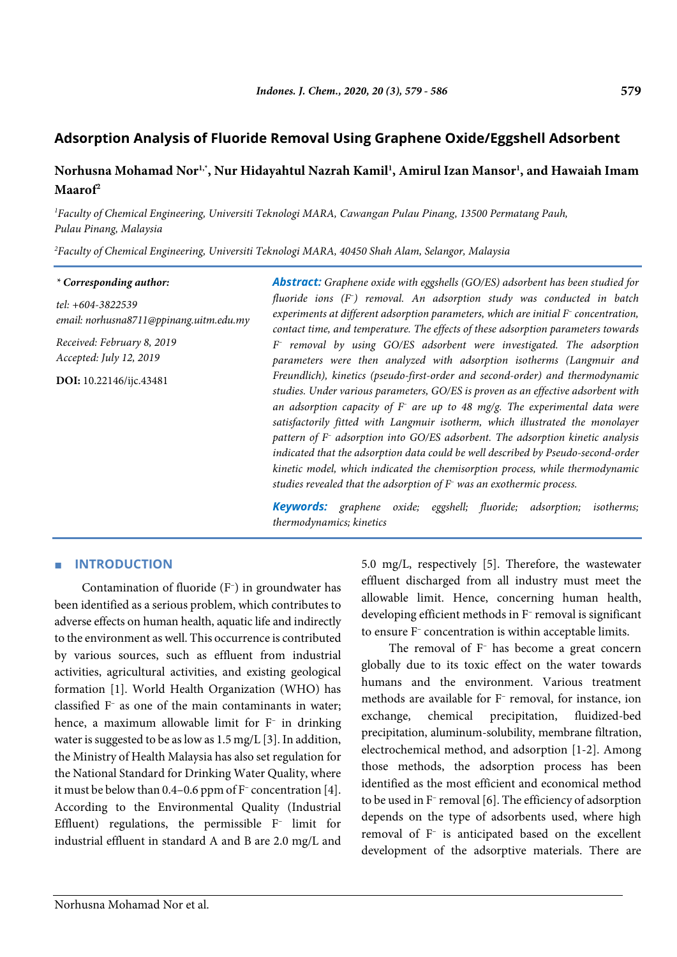# **Norhusna Mohamad Nor1,\*, Nur Hidayahtul Nazrah Kamil1 , Amirul Izan Mansor1 , and Hawaiah Imam Maarof2**

*1 Faculty of Chemical Engineering, Universiti Teknologi MARA, Cawangan Pulau Pinang, 13500 Permatang Pauh, Pulau Pinang, Malaysia*

*2 Faculty of Chemical Engineering, Universiti Teknologi MARA, 40450 Shah Alam, Selangor, Malaysia*

#### *\* Corresponding author:*

*tel: +604-3822539 email: norhusna8711@ppinang.uitm.edu.my*

*Received: February 8, 2019 Accepted: July 12, 2019*

**DOI:** 10.22146/ijc.43481

*Abstract: Graphene oxide with eggshells (GO/ES) adsorbent has been studied for fluoride ions (F– ) removal. An adsorption study was conducted in batch experiments at different adsorption parameters, which are initial F– concentration, contact time, and temperature. The effects of these adsorption parameters towards F– removal by using GO/ES adsorbent were investigated. The adsorption parameters were then analyzed with adsorption isotherms (Langmuir and Freundlich), kinetics (pseudo-first-order and second-order) and thermodynamic studies. Under various parameters, GO/ES is proven as an effective adsorbent with an adsorption capacity of F– are up to 48 mg/g. The experimental data were satisfactorily fitted with Langmuir isotherm, which illustrated the monolayer pattern of F– adsorption into GO/ES adsorbent. The adsorption kinetic analysis indicated that the adsorption data could be well described by Pseudo-second-order kinetic model, which indicated the chemisorption process, while thermodynamic studies revealed that the adsorption of F– was an exothermic process.*

*Keywords: graphene oxide; eggshell; fluoride; adsorption; isotherms; thermodynamics; kinetics*

## ■ **INTRODUCTION**

Contamination of fluoride (F– ) in groundwater has been identified as a serious problem, which contributes to adverse effects on human health, aquatic life and indirectly to the environment as well. This occurrence is contributed by various sources, such as effluent from industrial activities, agricultural activities, and existing geological formation [1]. World Health Organization (WHO) has classified F– as one of the main contaminants in water; hence, a maximum allowable limit for F– in drinking water is suggested to be as low as 1.5 mg/L [3]. In addition, the Ministry of Health Malaysia has also set regulation for the National Standard for Drinking Water Quality, where it must be below than 0.4–0.6 ppm of F– concentration [4]. According to the Environmental Quality (Industrial Effluent) regulations, the permissible F– limit for industrial effluent in standard A and B are 2.0 mg/L and

5.0 mg/L, respectively [5]. Therefore, the wastewater effluent discharged from all industry must meet the allowable limit. Hence, concerning human health, developing efficient methods in F– removal is significant to ensure F– concentration is within acceptable limits.

The removal of F<sup>-</sup> has become a great concern globally due to its toxic effect on the water towards humans and the environment. Various treatment methods are available for F– removal, for instance, ion exchange, chemical precipitation, fluidized-bed precipitation, aluminum-solubility, membrane filtration, electrochemical method, and adsorption [1-2]. Among those methods, the adsorption process has been identified as the most efficient and economical method to be used in F– removal [6]. The efficiency of adsorption depends on the type of adsorbents used, where high removal of F– is anticipated based on the excellent development of the adsorptive materials. There are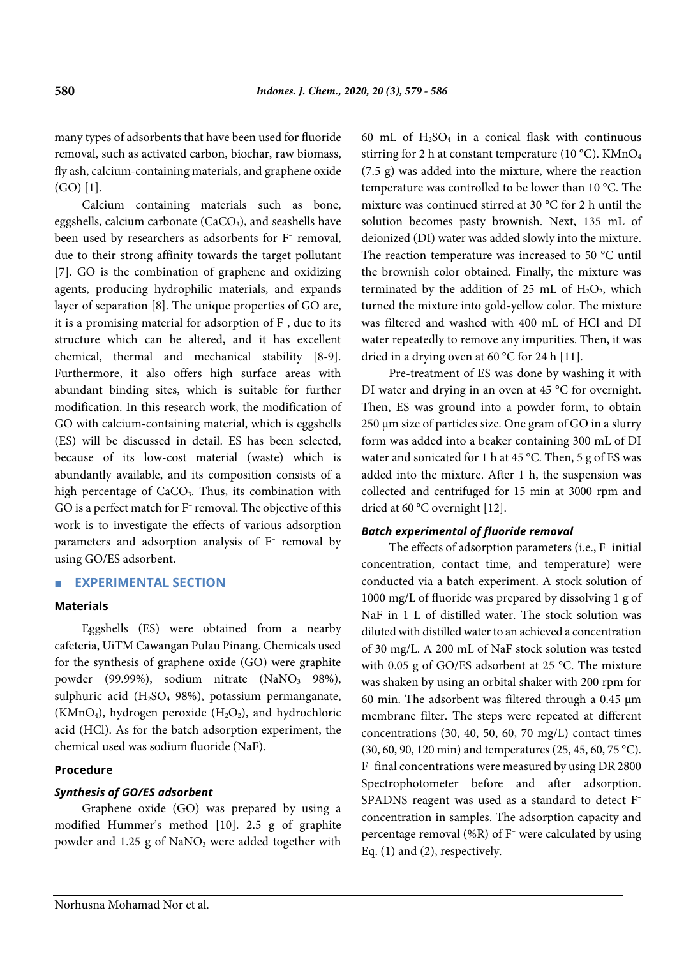many types of adsorbents that have been used for fluoride removal, such as activated carbon, biochar, raw biomass, fly ash, calcium-containing materials, and graphene oxide (GO) [1].

Calcium containing materials such as bone, eggshells, calcium carbonate ( $CaCO<sub>3</sub>$ ), and seashells have been used by researchers as adsorbents for F– removal, due to their strong affinity towards the target pollutant [7]. GO is the combination of graphene and oxidizing agents, producing hydrophilic materials, and expands layer of separation [8]. The unique properties of GO are, it is a promising material for adsorption of F– , due to its structure which can be altered, and it has excellent chemical, thermal and mechanical stability [8-9]. Furthermore, it also offers high surface areas with abundant binding sites, which is suitable for further modification. In this research work, the modification of GO with calcium-containing material, which is eggshells (ES) will be discussed in detail. ES has been selected, because of its low-cost material (waste) which is abundantly available, and its composition consists of a high percentage of CaCO<sub>3</sub>. Thus, its combination with GO is a perfect match for F– removal. The objective of this work is to investigate the effects of various adsorption parameters and adsorption analysis of F– removal by using GO/ES adsorbent.

## ■ **EXPERIMENTAL SECTION**

#### **Materials**

Eggshells (ES) were obtained from a nearby cafeteria, UiTM Cawangan Pulau Pinang. Chemicals used for the synthesis of graphene oxide (GO) were graphite powder (99.99%), sodium nitrate  $(NaNO<sub>3</sub> 98%)$ , sulphuric acid ( $H<sub>2</sub>SO<sub>4</sub>$  98%), potassium permanganate, (KMnO<sub>4</sub>), hydrogen peroxide ( $H_2O_2$ ), and hydrochloric acid (HCl). As for the batch adsorption experiment, the chemical used was sodium fluoride (NaF).

#### **Procedure**

## *Synthesis of GO/ES adsorbent*

Graphene oxide (GO) was prepared by using a modified Hummer's method [10]. 2.5 g of graphite powder and 1.25 g of NaNO<sub>3</sub> were added together with 60 mL of  $H_2SO_4$  in a conical flask with continuous stirring for 2 h at constant temperature (10 °C). KMnO<sub>4</sub> (7.5 g) was added into the mixture, where the reaction temperature was controlled to be lower than 10 °C. The mixture was continued stirred at 30 °C for 2 h until the solution becomes pasty brownish. Next, 135 mL of deionized (DI) water was added slowly into the mixture. The reaction temperature was increased to 50 °C until the brownish color obtained. Finally, the mixture was terminated by the addition of 25 mL of  $H_2O_2$ , which turned the mixture into gold-yellow color. The mixture was filtered and washed with 400 mL of HCl and DI water repeatedly to remove any impurities. Then, it was dried in a drying oven at 60 °C for 24 h [11].

Pre-treatment of ES was done by washing it with DI water and drying in an oven at 45 °C for overnight. Then, ES was ground into a powder form, to obtain 250 μm size of particles size. One gram of GO in a slurry form was added into a beaker containing 300 mL of DI water and sonicated for 1 h at 45 °C. Then, 5 g of ES was added into the mixture. After 1 h, the suspension was collected and centrifuged for 15 min at 3000 rpm and dried at 60 °C overnight [12].

### *Batch experimental of fluoride removal*

The effects of adsorption parameters (i.e., F– initial concentration, contact time, and temperature) were conducted via a batch experiment. A stock solution of 1000 mg/L of fluoride was prepared by dissolving 1 g of NaF in 1 L of distilled water. The stock solution was diluted with distilled water to an achieved a concentration of 30 mg/L. A 200 mL of NaF stock solution was tested with 0.05 g of GO/ES adsorbent at 25 °C. The mixture was shaken by using an orbital shaker with 200 rpm for 60 min. The adsorbent was filtered through a 0.45 µm membrane filter. The steps were repeated at different concentrations (30, 40, 50, 60, 70 mg/L) contact times (30, 60, 90, 120 min) and temperatures (25, 45, 60, 75 °C). F– final concentrations were measured by using DR 2800 Spectrophotometer before and after adsorption. SPADNS reagent was used as a standard to detect F– concentration in samples. The adsorption capacity and percentage removal (%R) of F– were calculated by using Eq. (1) and (2), respectively.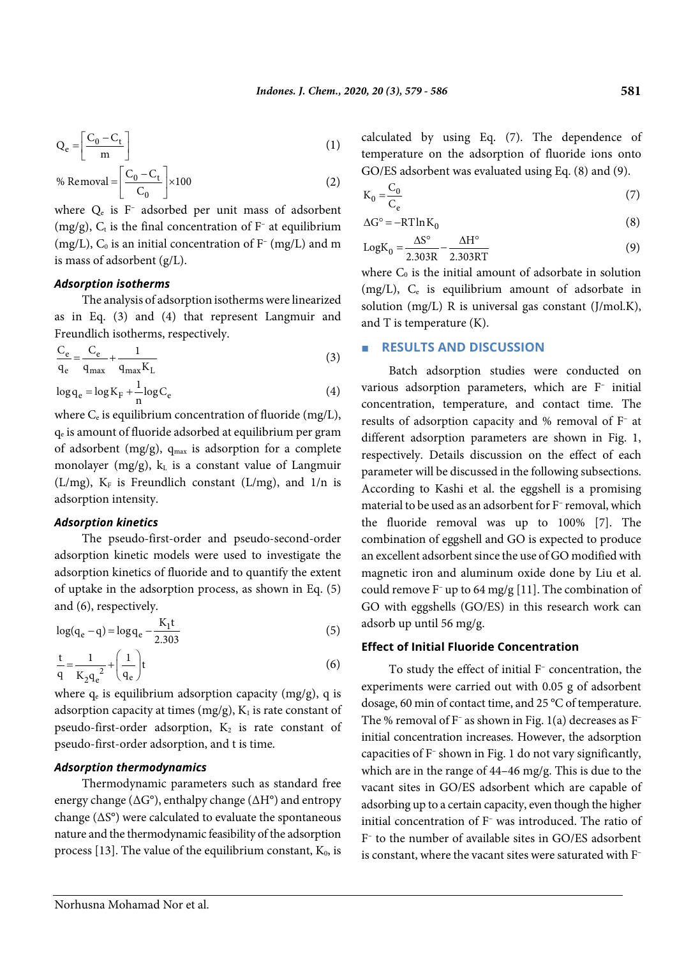$$
Q_e = \left[\frac{C_0 - C_t}{m}\right] \tag{1}
$$

% Removal 
$$
=
$$
  $\left[ \frac{C_0 - C_t}{C_0} \right] \times 100$  (2)

where  $Q_e$  is F<sup>–</sup> adsorbed per unit mass of adsorbent (mg/g),  $C_t$  is the final concentration of  $F^-$  at equilibrium (mg/L),  $C_0$  is an initial concentration of  $F^{-}$  (mg/L) and m is mass of adsorbent (g/L).

#### *Adsorption isotherms*

The analysis of adsorption isotherms were linearized as in Eq. (3) and (4) that represent Langmuir and Freundlich isotherms, respectively.

$$
\frac{C_e}{q_e} = \frac{C_e}{q_{max}} + \frac{1}{q_{max}K_L}
$$
\n(3)

 $\log q_e = \log K_F + \frac{1}{n} \log C_e$  (4)

where  $C_e$  is equilibrium concentration of fluoride (mg/L), qe is amount of fluoride adsorbed at equilibrium per gram of adsorbent (mg/g),  $q_{max}$  is adsorption for a complete monolayer (mg/g),  $k<sub>L</sub>$  is a constant value of Langmuir (L/mg),  $K_F$  is Freundlich constant (L/mg), and  $1/n$  is adsorption intensity.

#### *Adsorption kinetics*

The pseudo-first-order and pseudo-second-order adsorption kinetic models were used to investigate the adsorption kinetics of fluoride and to quantify the extent of uptake in the adsorption process, as shown in Eq. (5) and (6), respectively.

$$
\log(q_e - q) = \log q_e - \frac{K_1 t}{2.303}
$$
 (5)

$$
\frac{t}{q} = \frac{1}{K_2 q_e^2} + \left(\frac{1}{q_e}\right)t
$$
\n(6)

where  $q_e$  is equilibrium adsorption capacity (mg/g), q is adsorption capacity at times  $(mg/g)$ ,  $K_1$  is rate constant of pseudo-first-order adsorption,  $K_2$  is rate constant of pseudo-first-order adsorption, and t is time.

## *Adsorption thermodynamics*

Thermodynamic parameters such as standard free energy change (ΔG°), enthalpy change (ΔH°) and entropy change  $(\Delta S^{\circ})$  were calculated to evaluate the spontaneous nature and the thermodynamic feasibility of the adsorption process [13]. The value of the equilibrium constant,  $K_0$ , is calculated by using Eq. (7). The dependence of temperature on the adsorption of fluoride ions onto GO/ES adsorbent was evaluated using Eq. (8) and (9).

$$
K_0 = \frac{C_0}{C_e} \tag{7}
$$

$$
\Delta G^{\circ} = -RT \ln K_0 \tag{8}
$$

$$
LogK_0 = \frac{\Delta S^\circ}{2.303R} - \frac{\Delta H^\circ}{2.303RT}
$$
 (9)

where  $C_0$  is the initial amount of adsorbate in solution (mg/L), Ce is equilibrium amount of adsorbate in solution (mg/L) R is universal gas constant (J/mol.K), and T is temperature (K).

#### ■ **RESULTS AND DISCUSSION**

Batch adsorption studies were conducted on various adsorption parameters, which are F– initial concentration, temperature, and contact time. The results of adsorption capacity and % removal of F– at different adsorption parameters are shown in Fig. 1, respectively. Details discussion on the effect of each parameter will be discussed in the following subsections. According to Kashi et al. the eggshell is a promising material to be used as an adsorbent for F– removal, which the fluoride removal was up to 100% [7]. The combination of eggshell and GO is expected to produce an excellent adsorbent since the use of GO modified with magnetic iron and aluminum oxide done by Liu et al. could remove F– up to 64 mg/g [11]. The combination of GO with eggshells (GO/ES) in this research work can adsorb up until 56 mg/g.

## **Effect of Initial Fluoride Concentration**

To study the effect of initial F– concentration, the experiments were carried out with 0.05 g of adsorbent dosage, 60 min of contact time, and 25 °C of temperature. The % removal of  $F^-$  as shown in Fig. 1(a) decreases as  $F^$ initial concentration increases. However, the adsorption capacities of F– shown in Fig. 1 do not vary significantly, which are in the range of 44–46 mg/g. This is due to the vacant sites in GO/ES adsorbent which are capable of adsorbing up to a certain capacity, even though the higher initial concentration of F– was introduced. The ratio of F– to the number of available sites in GO/ES adsorbent is constant, where the vacant sites were saturated with F–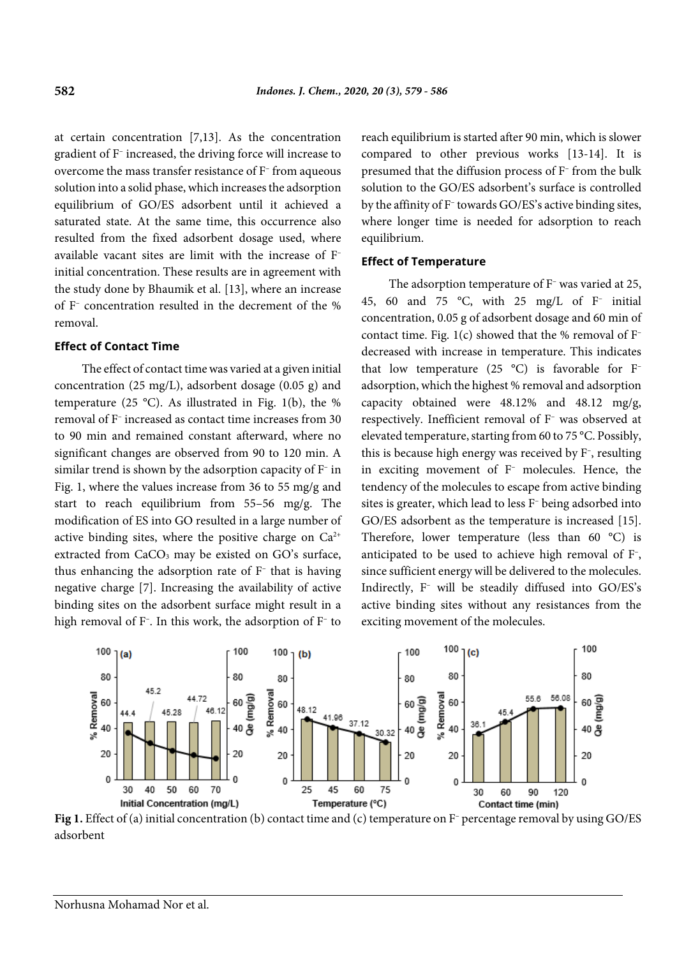at certain concentration [7,13]. As the concentration gradient of F– increased, the driving force will increase to overcome the mass transfer resistance of F– from aqueous solution into a solid phase, which increases the adsorption equilibrium of GO/ES adsorbent until it achieved a saturated state. At the same time, this occurrence also resulted from the fixed adsorbent dosage used, where available vacant sites are limit with the increase of F– initial concentration. These results are in agreement with the study done by Bhaumik et al. [13], where an increase of F– concentration resulted in the decrement of the % removal.

### **Effect of Contact Time**

The effect of contact time was varied at a given initial concentration (25 mg/L), adsorbent dosage (0.05 g) and temperature (25 °C). As illustrated in Fig. 1(b), the % removal of F– increased as contact time increases from 30 to 90 min and remained constant afterward, where no significant changes are observed from 90 to 120 min. A similar trend is shown by the adsorption capacity of F– in Fig. 1, where the values increase from 36 to 55 mg/g and start to reach equilibrium from 55–56 mg/g. The modification of ES into GO resulted in a large number of active binding sites, where the positive charge on  $Ca^{2+}$ extracted from  $CaCO<sub>3</sub>$  may be existed on GO's surface, thus enhancing the adsorption rate of F– that is having negative charge [7]. Increasing the availability of active binding sites on the adsorbent surface might result in a high removal of F– . In this work, the adsorption of F– to reach equilibrium is started after 90 min, which is slower compared to other previous works [13-14]. It is presumed that the diffusion process of F– from the bulk solution to the GO/ES adsorbent's surface is controlled by the affinity of F– towards GO/ES's active binding sites, where longer time is needed for adsorption to reach equilibrium.

#### **Effect of Temperature**

The adsorption temperature of F<sup>–</sup> was varied at 25, 45, 60 and 75 °C, with 25 mg/L of  $F^-$  initial concentration, 0.05 g of adsorbent dosage and 60 min of contact time. Fig.  $1(c)$  showed that the % removal of F<sup>-</sup> decreased with increase in temperature. This indicates that low temperature (25  $^{\circ}$ C) is favorable for F<sup>-</sup> adsorption, which the highest % removal and adsorption capacity obtained were 48.12% and 48.12 mg/g, respectively. Inefficient removal of F– was observed at elevated temperature, starting from 60 to 75 °C. Possibly, this is because high energy was received by F– , resulting in exciting movement of F– molecules. Hence, the tendency of the molecules to escape from active binding sites is greater, which lead to less F– being adsorbed into GO/ES adsorbent as the temperature is increased [15]. Therefore, lower temperature (less than 60 °C) is anticipated to be used to achieve high removal of F– , since sufficient energy will be delivered to the molecules. Indirectly, F– will be steadily diffused into GO/ES's active binding sites without any resistances from the exciting movement of the molecules.



**Fig 1.** Effect of (a) initial concentration (b) contact time and (c) temperature on F– percentage removal by using GO/ES adsorbent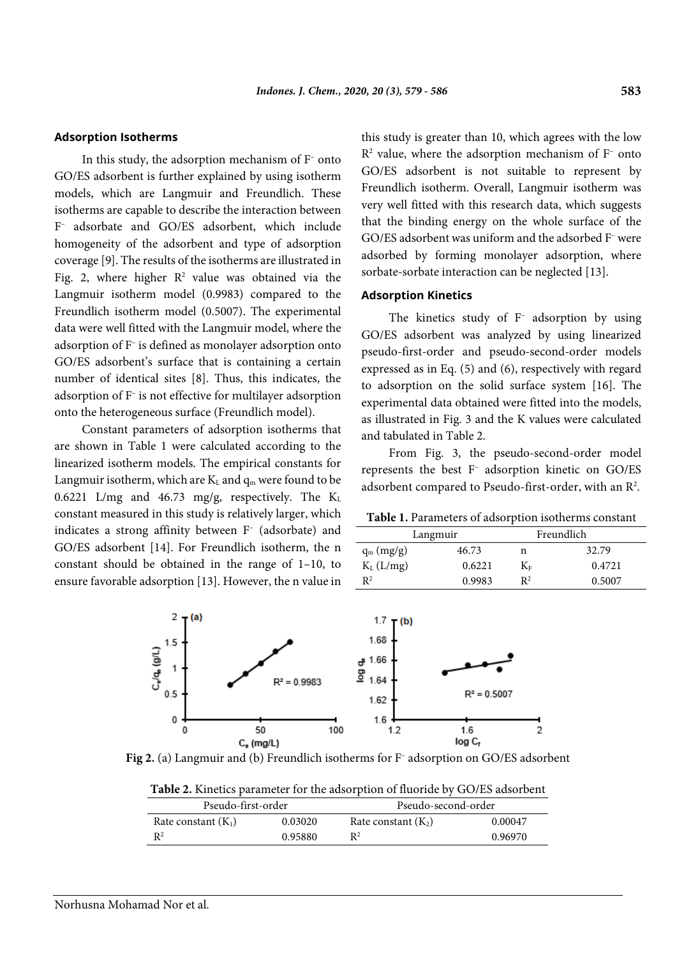#### **Adsorption Isotherms**

In this study, the adsorption mechanism of F– onto GO/ES adsorbent is further explained by using isotherm models, which are Langmuir and Freundlich. These isotherms are capable to describe the interaction between F– adsorbate and GO/ES adsorbent, which include homogeneity of the adsorbent and type of adsorption coverage [9]. The results of the isotherms are illustrated in Fig. 2, where higher  $R^2$  value was obtained via the Langmuir isotherm model (0.9983) compared to the Freundlich isotherm model (0.5007). The experimental data were well fitted with the Langmuir model, where the adsorption of F– is defined as monolayer adsorption onto GO/ES adsorbent's surface that is containing a certain number of identical sites [8]. Thus, this indicates, the adsorption of F– is not effective for multilayer adsorption onto the heterogeneous surface (Freundlich model).

Constant parameters of adsorption isotherms that are shown in Table 1 were calculated according to the linearized isotherm models. The empirical constants for Langmuir isotherm, which are  $K<sub>L</sub>$  and  $q<sub>m</sub>$  were found to be 0.6221 L/mg and 46.73 mg/g, respectively. The  $K<sub>L</sub>$ constant measured in this study is relatively larger, which indicates a strong affinity between F– (adsorbate) and GO/ES adsorbent [14]. For Freundlich isotherm, the n constant should be obtained in the range of 1–10, to ensure favorable adsorption [13]. However, the n value in this study is greater than 10, which agrees with the low  $R<sup>2</sup>$  value, where the adsorption mechanism of  $F<sup>-</sup>$  onto GO/ES adsorbent is not suitable to represent by Freundlich isotherm. Overall, Langmuir isotherm was very well fitted with this research data, which suggests that the binding energy on the whole surface of the GO/ES adsorbent was uniform and the adsorbed F– were adsorbed by forming monolayer adsorption, where sorbate-sorbate interaction can be neglected [13].

#### **Adsorption Kinetics**

The kinetics study of F– adsorption by using GO/ES adsorbent was analyzed by using linearized pseudo-first-order and pseudo-second-order models expressed as in Eq. (5) and (6), respectively with regard to adsorption on the solid surface system [16]. The experimental data obtained were fitted into the models, as illustrated in Fig. 3 and the K values were calculated and tabulated in Table 2.

From Fig. 3, the pseudo-second-order model represents the best F– adsorption kinetic on GO/ES adsorbent compared to Pseudo-first-order, with an R<sup>2</sup>.

**Table 1.** Parameters of adsorption isotherms constant

| Langmuir       |        |       | Freundlich |
|----------------|--------|-------|------------|
| $q_m (mg/g)$   | 46.73  | n     | 32.79      |
| $K_L$ (L/mg)   | 0.6221 | $K_F$ | 0.4721     |
| $\mathsf{R}^2$ | 0.9983 | $R^2$ | 0.5007     |



**Fig 2.** (a) Langmuir and (b) Freundlich isotherms for F– adsorption on GO/ES adsorbent

| <b>Table 2.</b> Kinetics parameter for the adsorption of fluoride by GO/ES adsorbent |  |  |  |
|--------------------------------------------------------------------------------------|--|--|--|
|--------------------------------------------------------------------------------------|--|--|--|

| Pseudo-first-order    |         | Pseudo-second-order   |         |  |
|-----------------------|---------|-----------------------|---------|--|
| Rate constant $(K_1)$ | 0.03020 | Rate constant $(K_2)$ | 0.00047 |  |
| $R^2$                 | 0.95880 |                       | 0.96970 |  |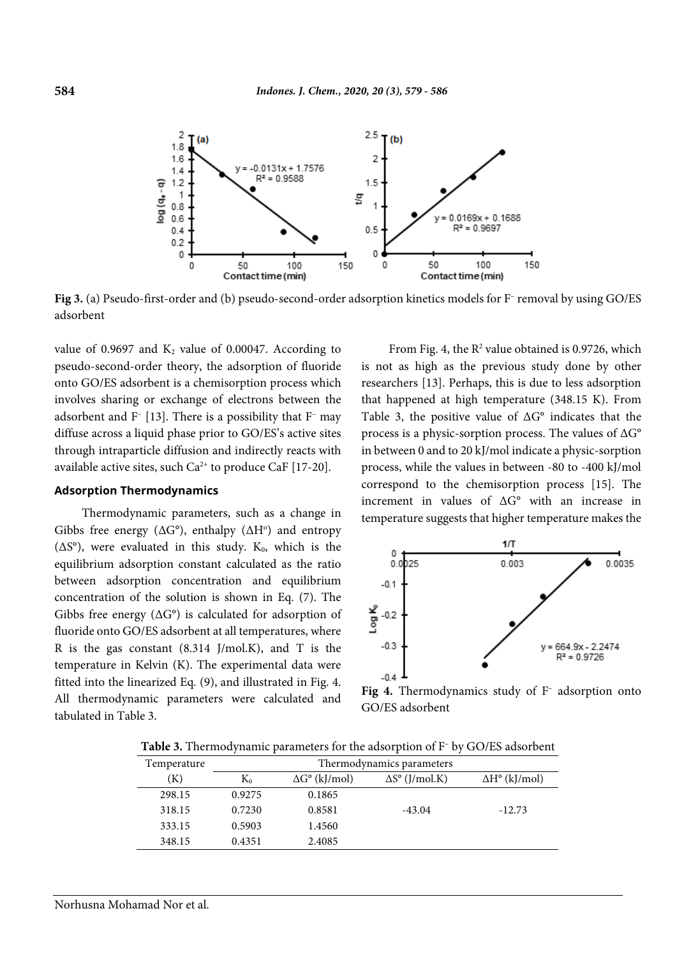

**Fig 3.** (a) Pseudo-first-order and (b) pseudo-second-order adsorption kinetics models for F– removal by using GO/ES adsorbent

value of  $0.9697$  and  $K_2$  value of  $0.00047$ . According to pseudo-second-order theory, the adsorption of fluoride onto GO/ES adsorbent is a chemisorption process which involves sharing or exchange of electrons between the adsorbent and  $F$ <sup>[13]</sup>. There is a possibility that  $F$ <sup>-</sup> may diffuse across a liquid phase prior to GO/ES's active sites through intraparticle diffusion and indirectly reacts with available active sites, such  $Ca^{2+}$  to produce  $CaF$  [17-20].

#### **Adsorption Thermodynamics**

Thermodynamic parameters, such as a change in Gibbs free energy ( $\Delta G^{\circ}$ ), enthalpy ( $\Delta H^{\circ}$ ) and entropy ( $\Delta S^{\circ}$ ), were evaluated in this study. K<sub>0</sub>, which is the equilibrium adsorption constant calculated as the ratio between adsorption concentration and equilibrium concentration of the solution is shown in Eq. (7). The Gibbs free energy  $(\Delta G^{\circ})$  is calculated for adsorption of fluoride onto GO/ES adsorbent at all temperatures, where R is the gas constant (8.314 J/mol.K), and T is the temperature in Kelvin (K). The experimental data were fitted into the linearized Eq. (9), and illustrated in Fig. 4. All thermodynamic parameters were calculated and tabulated in Table 3.

From Fig. 4, the  $R^2$  value obtained is 0.9726, which is not as high as the previous study done by other researchers [13]. Perhaps, this is due to less adsorption that happened at high temperature (348.15 K). From Table 3, the positive value of ΔG° indicates that the process is a physic-sorption process. The values of  $\Delta G^{\circ}$ in between 0 and to 20 kJ/mol indicate a physic-sorption process, while the values in between -80 to -400 kJ/mol correspond to the chemisorption process [15]. The increment in values of ΔG° with an increase in temperature suggests that higher temperature makes the



Fig 4. Thermodynamics study of F<sup>-</sup> adsorption onto GO/ES adsorbent

**Table 3.** Thermodynamic parameters for the adsorption of F– by GO/ES adsorbent

| Temperature | Thermodynamics parameters |                             |                              |                             |  |
|-------------|---------------------------|-----------------------------|------------------------------|-----------------------------|--|
| $\rm (K)$   | $K_0$                     | $\Delta G^{\circ}$ (kJ/mol) | $\Delta S^{\circ}$ (J/mol.K) | $\Delta H^{\circ}$ (kJ/mol) |  |
| 298.15      | 0.9275                    | 0.1865                      |                              |                             |  |
| 318.15      | 0.7230                    | 0.8581                      | $-43.04$                     | $-12.73$                    |  |
| 333.15      | 0.5903                    | 1.4560                      |                              |                             |  |
| 348.15      | 0.4351                    | 2.4085                      |                              |                             |  |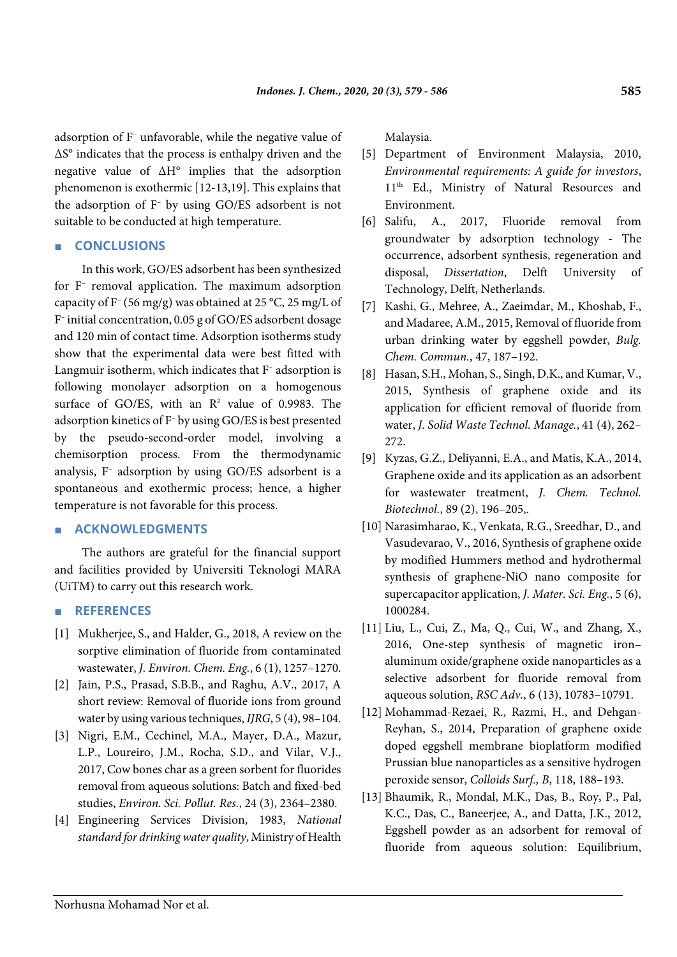adsorption of F– unfavorable, while the negative value of ΔS° indicates that the process is enthalpy driven and the negative value of ΔH° implies that the adsorption phenomenon is exothermic [12-13,19]. This explains that the adsorption of F– by using GO/ES adsorbent is not suitable to be conducted at high temperature.

## ■ **CONCLUSIONS**

In this work, GO/ES adsorbent has been synthesized for F– removal application. The maximum adsorption capacity of  $F^-(56 \text{ mg/g})$  was obtained at 25 °C, 25 mg/L of F– initial concentration, 0.05 g of GO/ES adsorbent dosage and 120 min of contact time. Adsorption isotherms study show that the experimental data were best fitted with Langmuir isotherm, which indicates that F– adsorption is following monolayer adsorption on a homogenous surface of GO/ES, with an  $R^2$  value of 0.9983. The adsorption kinetics of F– by using GO/ES is best presented by the pseudo-second-order model, involving a chemisorption process. From the thermodynamic analysis, F– adsorption by using GO/ES adsorbent is a spontaneous and exothermic process; hence, a higher temperature is not favorable for this process.

## ■ **ACKNOWLEDGMENTS**

The authors are grateful for the financial support and facilities provided by Universiti Teknologi MARA (UiTM) to carry out this research work.

## ■ **REFERENCES**

- [1] Mukherjee, S., and Halder, G., 2018, A review on the sorptive elimination of fluoride from contaminated wastewater, *J. Environ. Chem. Eng.*, 6 (1), 1257–1270.
- [2] Jain, P.S., Prasad, S.B.B., and Raghu, A.V., 2017, A short review: Removal of fluoride ions from ground water by using various techniques, *IJRG*, 5 (4), 98–104.
- [3] Nigri, E.M., Cechinel, M.A., Mayer, D.A., Mazur, L.P., Loureiro, J.M., Rocha, S.D., and Vilar, V.J., 2017, Cow bones char as a green sorbent for fluorides removal from aqueous solutions: Batch and fixed-bed studies, *Environ. Sci. Pollut. Res.*, 24 (3), 2364–2380.
- [4] Engineering Services Division, 1983, *National standard for drinking water quality*, Ministry of Health

Malaysia.

- [5] Department of Environment Malaysia, 2010, *Environmental requirements: A guide for investors*, 11<sup>th</sup> Ed., Ministry of Natural Resources and Environment.
- [6] Salifu, A., 2017, Fluoride removal from groundwater by adsorption technology - The occurrence, adsorbent synthesis, regeneration and disposal, *Dissertation*, Delft University of Technology, Delft, Netherlands.
- [7] Kashi, G., Mehree, A., Zaeimdar, M., Khoshab, F., and Madaree, A.M., 2015, Removal of fluoride from urban drinking water by eggshell powder, *Bulg. Chem. Commun.*, 47, 187–192.
- [8] Hasan, S.H., Mohan, S., Singh, D.K., and Kumar, V., 2015, Synthesis of graphene oxide and its application for efficient removal of fluoride from water, *J. Solid Waste Technol. Manage.*, 41 (4), 262– 272.
- [9] Kyzas, G.Z., Deliyanni, E.A., and Matis, K.A., 2014, Graphene oxide and its application as an adsorbent for wastewater treatment, *J. Chem. Technol. Biotechnol.*, 89 (2), 196–205,.
- [10] Narasimharao, K., Venkata, R.G., Sreedhar, D., and Vasudevarao, V., 2016, Synthesis of graphene oxide by modified Hummers method and hydrothermal synthesis of graphene-NiO nano composite for supercapacitor application, *J. Mater. Sci. Eng.*, 5 (6), 1000284.
- [11] Liu, L., Cui, Z., Ma, Q., Cui, W., and Zhang, X., 2016, One-step synthesis of magnetic iron– aluminum oxide/graphene oxide nanoparticles as a selective adsorbent for fluoride removal from aqueous solution, *RSC Adv.*, 6 (13), 10783–10791.
- [12] Mohammad-Rezaei, R., Razmi, H., and Dehgan-Reyhan, S., 2014, Preparation of graphene oxide doped eggshell membrane bioplatform modified Prussian blue nanoparticles as a sensitive hydrogen peroxide sensor, *Colloids Surf., B*, 118, 188–193.
- [13] Bhaumik, R., Mondal, M.K., Das, B., Roy, P., Pal, K.C., Das, C., Baneerjee, A., and Datta, J.K., 2012, Eggshell powder as an adsorbent for removal of fluoride from aqueous solution: Equilibrium,